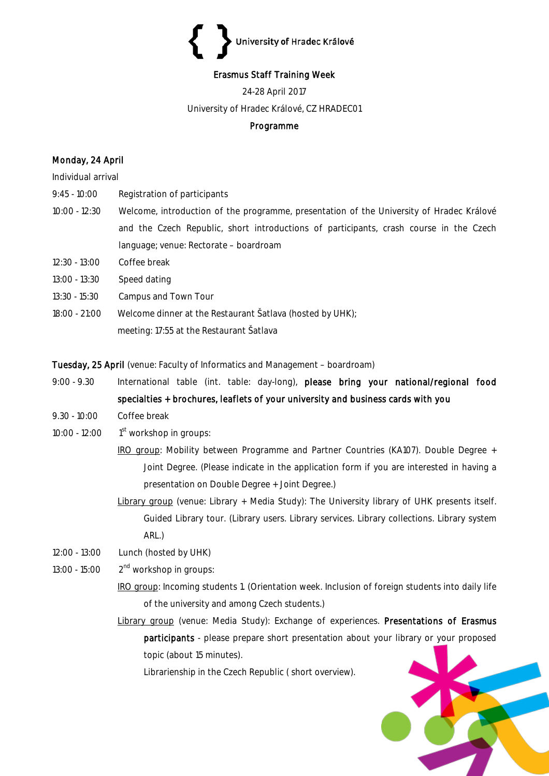# University of Hradec Králové

# Erasmus Staff Training Week

24-28 April 2017

University of Hradec Králové, CZ HRADEC01

# Programme

# Monday, 24 April

#### Individual arrival

- 9:45 10:00 Registration of participants
- 10:00 12:30 Welcome, introduction of the programme, presentation of the University of Hradec Králové and the Czech Republic, short introductions of participants, crash course in the Czech language; venue: Rectorate – boardroam
- 12:30 13:00 Coffee break
- 13:00 13:30 Speed dating
- 13:30 15:30 Campus and Town Tour
- 18:00 21:00 Welcome dinner at the Restaurant Šatlava (hosted by UHK); meeting: 17:55 at the Restaurant Šatlava

Tuesday, 25 April (venue: Faculty of Informatics and Management – boardroam)

- 9:00 9.30 International table (int. table: day-long), please bring your national/regional food specialties + brochures, leaflets of your university and business cards with you
- 9.30 10:00 Coffee break
- 10:00 12:00 1  $1<sup>st</sup>$  workshop in groups:
	- IRO group: Mobility between Programme and Partner Countries (KA107). Double Degree + Joint Degree. (Please indicate in the application form if you are interested in having a presentation on Double Degree + Joint Degree.)
	- Library group (venue: Library + Media Study): The University library of UHK presents itself. Guided Library tour. (Library users. Library services. Library collections. Library system ARL.)
- 12:00 13:00 Lunch (hosted by UHK)
- 13:00 15:00  $2<sup>nd</sup>$  workshop in groups:
	- IRO group: Incoming students 1. (Orientation week. Inclusion of foreign students into daily life of the university and among Czech students.)
	- Library group (venue: Media Study): Exchange of experiences. Presentations of Erasmus participants - please prepare short presentation about your library or your proposed topic (about 15 minutes).

Librarienship in the Czech Republic ( short overview).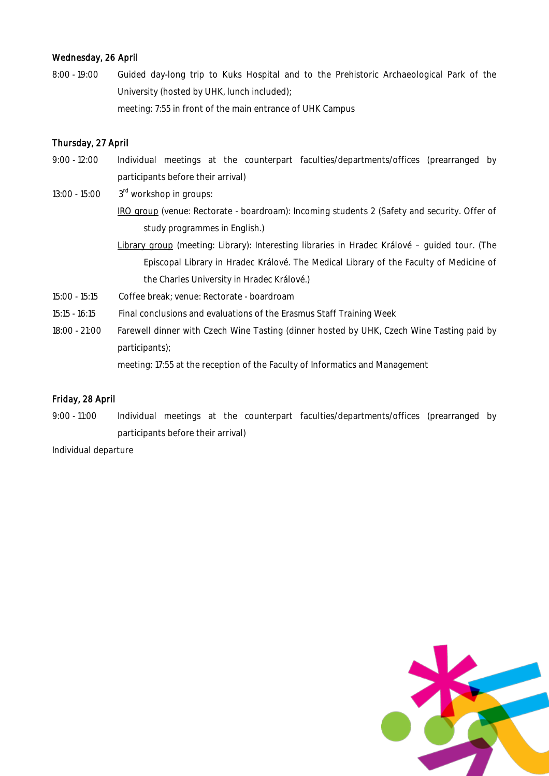## Wednesday, 26 April

8:00 - 19:00 Guided day-long trip to Kuks Hospital and to the Prehistoric Archaeological Park of the University (hosted by UHK, lunch included); meeting: 7:55 in front of the main entrance of UHK Campus

## Thursday, 27 April

- 9:00 12:00 Individual meetings at the counterpart faculties/departments/offices (prearranged by participants before their arrival)
- 13:00 15:00 3 3<sup>rd</sup> workshop in groups: IRO group (venue: Rectorate - boardroam): Incoming students 2 (Safety and security. Offer of study programmes in English.)
	- Library group (meeting: Library): Interesting libraries in Hradec Králové guided tour. (The Episcopal Library in Hradec Králové. The Medical Library of the Faculty of Medicine of the Charles University in Hradec Králové.)
- 15:00 15:15 Coffee break; venue: Rectorate boardroam
- 15:15 16:15 Final conclusions and evaluations of the Erasmus Staff Training Week
- 18:00 21:00 Farewell dinner with Czech Wine Tasting (dinner hosted by UHK, Czech Wine Tasting paid by participants);

meeting: 17:55 at the reception of the Faculty of Informatics and Management

#### Friday, 28 April

9:00 - 11:00 Individual meetings at the counterpart faculties/departments/offices (prearranged by participants before their arrival)

Individual departure

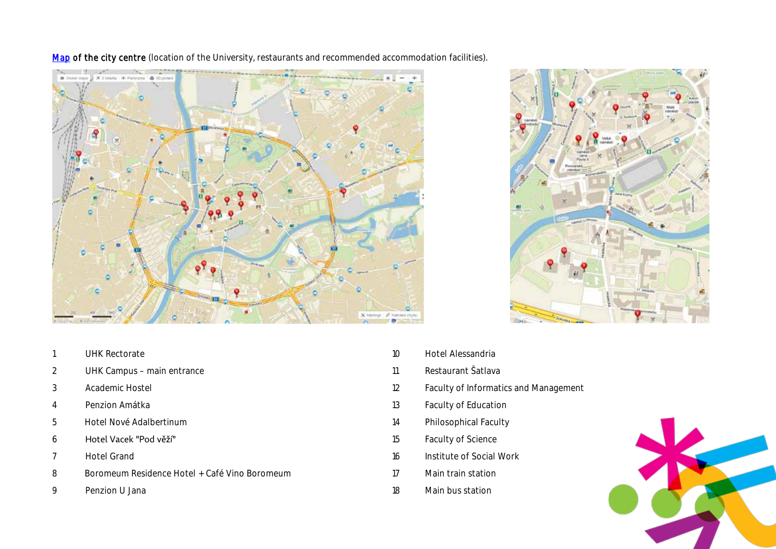

[Map](https://mapy.cz/s/1jsIK) of the city centre (location of the University, restaurants and recommended accommodation facilities).



- UHK Rectorate
- UHK Campus main entrance
- Academic Hostel
- Penzion Amátka
- Hotel Nové Adalbertinum
- Hotel Vacek "Pod věží"
- Hotel Grand
- Boromeum Residence Hotel + Café Vino Boromeum
- Penzion U Jana
- Hotel Alessandria
- Restaurant Šatlava
- Faculty of Informatics and Management
- Faculty of Education
- Philosophical Faculty
- Faculty of Science
- Institute of Social Work
- Main train station
- Main bus station